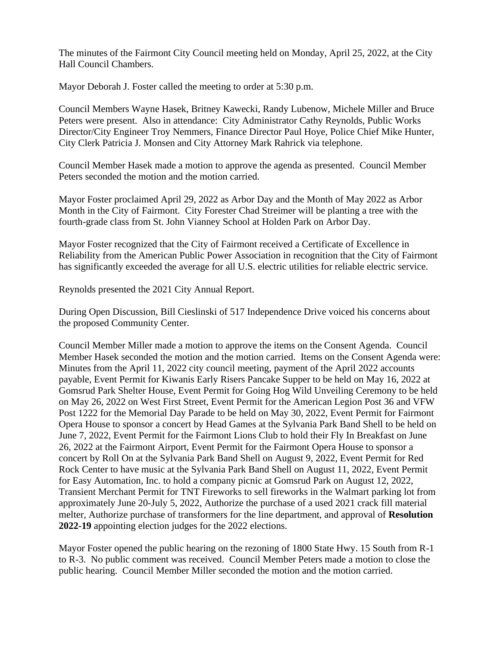The minutes of the Fairmont City Council meeting held on Monday, April 25, 2022, at the City Hall Council Chambers.

Mayor Deborah J. Foster called the meeting to order at 5:30 p.m.

Council Members Wayne Hasek, Britney Kawecki, Randy Lubenow, Michele Miller and Bruce Peters were present. Also in attendance: City Administrator Cathy Reynolds, Public Works Director/City Engineer Troy Nemmers, Finance Director Paul Hoye, Police Chief Mike Hunter, City Clerk Patricia J. Monsen and City Attorney Mark Rahrick via telephone.

Council Member Hasek made a motion to approve the agenda as presented. Council Member Peters seconded the motion and the motion carried.

Mayor Foster proclaimed April 29, 2022 as Arbor Day and the Month of May 2022 as Arbor Month in the City of Fairmont. City Forester Chad Streimer will be planting a tree with the fourth-grade class from St. John Vianney School at Holden Park on Arbor Day.

Mayor Foster recognized that the City of Fairmont received a Certificate of Excellence in Reliability from the American Public Power Association in recognition that the City of Fairmont has significantly exceeded the average for all U.S. electric utilities for reliable electric service.

Reynolds presented the 2021 City Annual Report.

During Open Discussion, Bill Cieslinski of 517 Independence Drive voiced his concerns about the proposed Community Center.

Council Member Miller made a motion to approve the items on the Consent Agenda. Council Member Hasek seconded the motion and the motion carried. Items on the Consent Agenda were: Minutes from the April 11, 2022 city council meeting, payment of the April 2022 accounts payable, Event Permit for Kiwanis Early Risers Pancake Supper to be held on May 16, 2022 at Gomsrud Park Shelter House, Event Permit for Going Hog Wild Unveiling Ceremony to be held on May 26, 2022 on West First Street, Event Permit for the American Legion Post 36 and VFW Post 1222 for the Memorial Day Parade to be held on May 30, 2022, Event Permit for Fairmont Opera House to sponsor a concert by Head Games at the Sylvania Park Band Shell to be held on June 7, 2022, Event Permit for the Fairmont Lions Club to hold their Fly In Breakfast on June 26, 2022 at the Fairmont Airport, Event Permit for the Fairmont Opera House to sponsor a concert by Roll On at the Sylvania Park Band Shell on August 9, 2022, Event Permit for Red Rock Center to have music at the Sylvania Park Band Shell on August 11, 2022, Event Permit for Easy Automation, Inc. to hold a company picnic at Gomsrud Park on August 12, 2022, Transient Merchant Permit for TNT Fireworks to sell fireworks in the Walmart parking lot from approximately June 20-July 5, 2022, Authorize the purchase of a used 2021 crack fill material melter, Authorize purchase of transformers for the line department, and approval of **Resolution 2022-19** appointing election judges for the 2022 elections.

Mayor Foster opened the public hearing on the rezoning of 1800 State Hwy. 15 South from R-1 to R-3. No public comment was received. Council Member Peters made a motion to close the public hearing. Council Member Miller seconded the motion and the motion carried.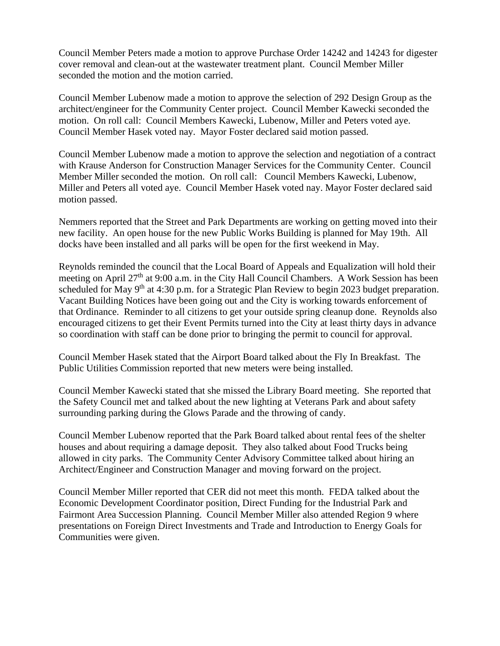Council Member Peters made a motion to approve Purchase Order 14242 and 14243 for digester cover removal and clean-out at the wastewater treatment plant. Council Member Miller seconded the motion and the motion carried.

Council Member Lubenow made a motion to approve the selection of 292 Design Group as the architect/engineer for the Community Center project. Council Member Kawecki seconded the motion. On roll call: Council Members Kawecki, Lubenow, Miller and Peters voted aye. Council Member Hasek voted nay. Mayor Foster declared said motion passed.

Council Member Lubenow made a motion to approve the selection and negotiation of a contract with Krause Anderson for Construction Manager Services for the Community Center. Council Member Miller seconded the motion. On roll call: Council Members Kawecki, Lubenow, Miller and Peters all voted aye. Council Member Hasek voted nay. Mayor Foster declared said motion passed.

Nemmers reported that the Street and Park Departments are working on getting moved into their new facility. An open house for the new Public Works Building is planned for May 19th. All docks have been installed and all parks will be open for the first weekend in May.

Reynolds reminded the council that the Local Board of Appeals and Equalization will hold their meeting on April 27<sup>th</sup> at 9:00 a.m. in the City Hall Council Chambers. A Work Session has been scheduled for May 9<sup>th</sup> at 4:30 p.m. for a Strategic Plan Review to begin 2023 budget preparation. Vacant Building Notices have been going out and the City is working towards enforcement of that Ordinance. Reminder to all citizens to get your outside spring cleanup done. Reynolds also encouraged citizens to get their Event Permits turned into the City at least thirty days in advance so coordination with staff can be done prior to bringing the permit to council for approval.

Council Member Hasek stated that the Airport Board talked about the Fly In Breakfast. The Public Utilities Commission reported that new meters were being installed.

Council Member Kawecki stated that she missed the Library Board meeting. She reported that the Safety Council met and talked about the new lighting at Veterans Park and about safety surrounding parking during the Glows Parade and the throwing of candy.

Council Member Lubenow reported that the Park Board talked about rental fees of the shelter houses and about requiring a damage deposit. They also talked about Food Trucks being allowed in city parks. The Community Center Advisory Committee talked about hiring an Architect/Engineer and Construction Manager and moving forward on the project.

Council Member Miller reported that CER did not meet this month. FEDA talked about the Economic Development Coordinator position, Direct Funding for the Industrial Park and Fairmont Area Succession Planning. Council Member Miller also attended Region 9 where presentations on Foreign Direct Investments and Trade and Introduction to Energy Goals for Communities were given.